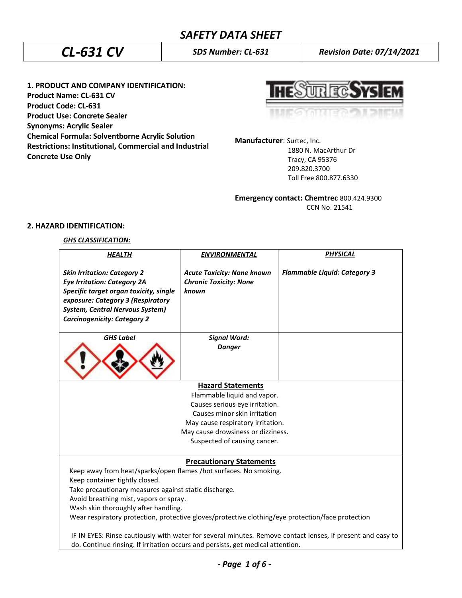**1. PRODUCT AND COMPANY IDENTIFICATION: Product Name: CL-631 CV Product Code: CL-631 Product Use: Concrete Sealer Synonyms: Acrylic Sealer Chemical Formula: Solventborne Acrylic Solution Restrictions: Institutional, Commercial and Industrial Concrete Use Only**



**Manufacturer**: Surtec, Inc.

 1880 N. MacArthur Dr Tracy, CA 95376 209.820.3700 Toll Free 800.877.6330

**Emergency contact: Chemtrec** 800.424.9300

CCN No. 21541

# **2. HAZARD IDENTIFICATION:**

# *GHS CLASSIFICATION:*

| <b>HEALTH</b>                                                                                                                                                                                                                           | <b>ENVIRONMENTAL</b>                                                        | <b>PHYSICAL</b>                     |  |
|-----------------------------------------------------------------------------------------------------------------------------------------------------------------------------------------------------------------------------------------|-----------------------------------------------------------------------------|-------------------------------------|--|
| <b>Skin Irritation: Category 2</b><br><b>Eye Irritation: Category 2A</b><br>Specific target organ toxicity, single<br>exposure: Category 3 (Respiratory<br><b>System, Central Nervous System)</b><br><b>Carcinogenicity: Category 2</b> | <b>Acute Toxicity: None known</b><br><b>Chronic Toxicity: None</b><br>known | <b>Flammable Liquid: Category 3</b> |  |
| <b>GHS Label</b>                                                                                                                                                                                                                        | <b>Signal Word:</b>                                                         |                                     |  |
|                                                                                                                                                                                                                                         | <b>Danger</b>                                                               |                                     |  |
|                                                                                                                                                                                                                                         | <b>Hazard Statements</b>                                                    |                                     |  |
|                                                                                                                                                                                                                                         | Flammable liquid and vapor.                                                 |                                     |  |
|                                                                                                                                                                                                                                         | Causes serious eye irritation.                                              |                                     |  |
|                                                                                                                                                                                                                                         | Causes minor skin irritation                                                |                                     |  |
|                                                                                                                                                                                                                                         | May cause respiratory irritation.                                           |                                     |  |
| May cause drowsiness or dizziness.                                                                                                                                                                                                      |                                                                             |                                     |  |
|                                                                                                                                                                                                                                         | Suspected of causing cancer.                                                |                                     |  |
| <b>Precautionary Statements</b>                                                                                                                                                                                                         |                                                                             |                                     |  |
| Keep away from heat/sparks/open flames /hot surfaces. No smoking.<br>Keep container tightly closed.                                                                                                                                     |                                                                             |                                     |  |
| Take precautionary measures against static discharge.                                                                                                                                                                                   |                                                                             |                                     |  |
| Avoid breathing mist, vapors or spray.                                                                                                                                                                                                  |                                                                             |                                     |  |
| Wash skin thoroughly after handling.                                                                                                                                                                                                    |                                                                             |                                     |  |
| Wear respiratory protection, protective gloves/protective clothing/eye protection/face protection                                                                                                                                       |                                                                             |                                     |  |
| IF IN EYES: Rinse cautiously with water for several minutes. Remove contact lenses, if present and easy to                                                                                                                              |                                                                             |                                     |  |
| do. Continue rinsing. If irritation occurs and persists, get medical attention.                                                                                                                                                         |                                                                             |                                     |  |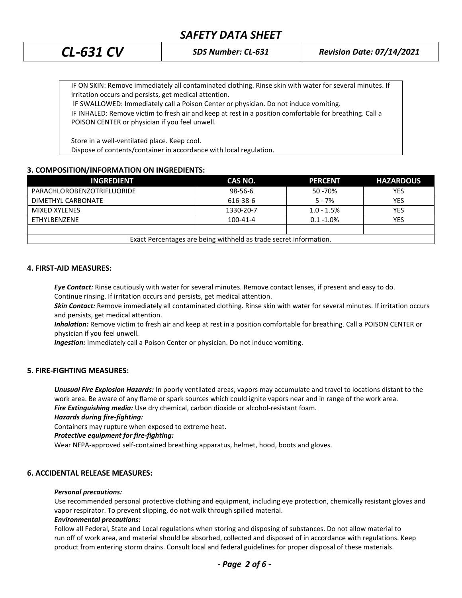# *SAFETY DATA SHEET*

*CL-631 CV SDS Number: CL-631 Revision Date: 07/14/2021*

IF ON SKIN: Remove immediately all contaminated clothing. Rinse skin with water for several minutes. If irritation occurs and persists, get medical attention.

IF SWALLOWED: Immediately call a Poison Center or physician. Do not induce vomiting.

IF INHALED: Remove victim to fresh air and keep at rest in a position comfortable for breathing. Call a POISON CENTER or physician if you feel unwell.

Store in a well-ventilated place. Keep cool. Dispose of contents/container in accordance with local regulation.

# **3. COMPOSITION/INFORMATION ON INGREDIENTS:**

| <b>INGREDIENT</b>                                                 | CAS NO.        | <b>PERCENT</b> | <b>HAZARDOUS</b> |
|-------------------------------------------------------------------|----------------|----------------|------------------|
| PARACHLOROBENZOTRIFLUORIDE                                        | $98 - 56 - 6$  | 50 - 70%       | YES              |
| DIMETHYL CARBONATE                                                | 616-38-6       | $5 - 7%$       | <b>YES</b>       |
| MIXED XYLENES                                                     | 1330-20-7      | $1.0 - 1.5%$   | YES              |
| ETHYLBENZENE                                                      | $100 - 41 - 4$ | $0.1 - 1.0\%$  | YES              |
|                                                                   |                |                |                  |
| Exact Percentages are being withheld as trade secret information. |                |                |                  |

#### **4. FIRST-AID MEASURES:**

*Eye Contact:* Rinse cautiously with water for several minutes. Remove contact lenses, if present and easy to do. Continue rinsing. If irritation occurs and persists, get medical attention.

*Skin Contact:* Remove immediately all contaminated clothing. Rinse skin with water for several minutes. If irritation occurs and persists, get medical attention.

*Inhalation:* Remove victim to fresh air and keep at rest in a position comfortable for breathing. Call a POISON CENTER or physician if you feel unwell.

*Ingestion:* Immediately call a Poison Center or physician. Do not induce vomiting.

#### **5. FIRE-FIGHTING MEASURES:**

*Unusual Fire Explosion Hazards:* In poorly ventilated areas, vapors may accumulate and travel to locations distant to the work area. Be aware of any flame or spark sources which could ignite vapors near and in range of the work area. *Fire Extinguishing media:* Use dry chemical, carbon dioxide or alcohol-resistant foam.

#### *Hazards during fire-fighting:*

Containers may rupture when exposed to extreme heat.

#### *Protective equipment for fire-fighting:*

Wear NFPA-approved self-contained breathing apparatus, helmet, hood, boots and gloves.

### **6. ACCIDENTAL RELEASE MEASURES:**

#### *Personal precautions:*

Use recommended personal protective clothing and equipment, including eye protection, chemically resistant gloves and vapor respirator. To prevent slipping, do not walk through spilled material.

#### *Environmental precautions:*

Follow all Federal, State and Local regulations when storing and disposing of substances. Do not allow material to run off of work area, and material should be absorbed, collected and disposed of in accordance with regulations. Keep product from entering storm drains. Consult local and federal guidelines for proper disposal of these materials.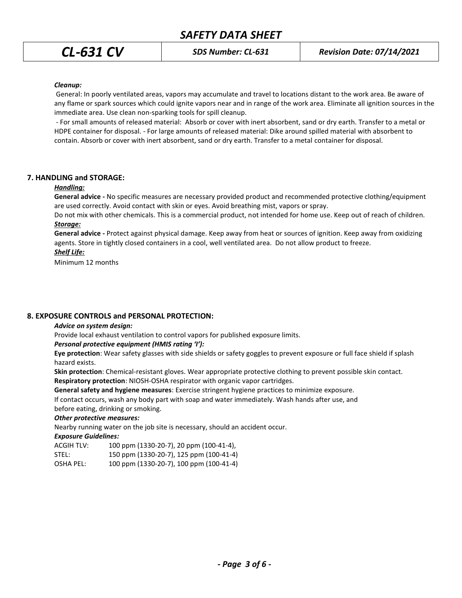#### *Cleanup:*

General: In poorly ventilated areas, vapors may accumulate and travel to locations distant to the work area. Be aware of any flame or spark sources which could ignite vapors near and in range of the work area. Eliminate all ignition sources in the immediate area. Use clean non-sparking tools for spill cleanup.

- For small amounts of released material: Absorb or cover with inert absorbent, sand or dry earth. Transfer to a metal or HDPE container for disposal. - For large amounts of released material: Dike around spilled material with absorbent to contain. Absorb or cover with inert absorbent, sand or dry earth. Transfer to a metal container for disposal.

#### **7. HANDLING and STORAGE:**

#### *Handling:*

**General advice -** No specific measures are necessary provided product and recommended protective clothing/equipment are used correctly. Avoid contact with skin or eyes. Avoid breathing mist, vapors or spray.

Do not mix with other chemicals. This is a commercial product, not intended for home use. Keep out of reach of children. *Storage:*

**General advice -** Protect against physical damage. Keep away from heat or sources of ignition. Keep away from oxidizing agents. Store in tightly closed containers in a cool, well ventilated area. Do not allow product to freeze.

## *Shelf Life:*

Minimum 12 months

#### **8. EXPOSURE CONTROLS and PERSONAL PROTECTION:**

#### *Advice on system design:*

Provide local exhaust ventilation to control vapors for published exposure limits.

#### *Personal protective equipment (HMIS rating 'I'):*

**Eye protection**: Wear safety glasses with side shields or safety goggles to prevent exposure or full face shield if splash hazard exists.

**Skin protection**: Chemical-resistant gloves. Wear appropriate protective clothing to prevent possible skin contact.

**Respiratory protection**: NIOSH-OSHA respirator with organic vapor cartridges.

**General safety and hygiene measures**: Exercise stringent hygiene practices to minimize exposure.

If contact occurs, wash any body part with soap and water immediately. Wash hands after use, and

before eating, drinking or smoking.

#### *Other protective measures:*

Nearby running water on the job site is necessary, should an accident occur.

#### *Exposure Guidelines:*

| ACGIH TLV: | 100 ppm (1330-20-7), 20 ppm (100-41-4), |
|------------|-----------------------------------------|
| STEL:      | 150 ppm (1330-20-7), 125 ppm (100-41-4) |

OSHA PEL: 100 ppm (1330-20-7), 100 ppm (100-41-4)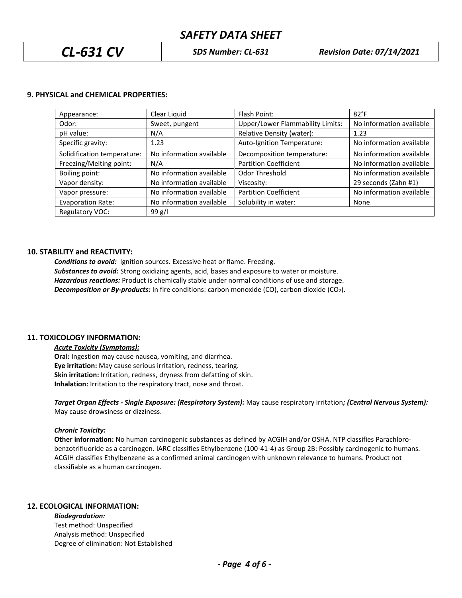# *SAFETY DATA SHEET*

#### **9. PHYSICAL and CHEMICAL PROPERTIES:**

| Appearance:                 | Clear Liquid             | Flash Point:                     | $82^{\circ}$ F           |
|-----------------------------|--------------------------|----------------------------------|--------------------------|
| Odor:                       | Sweet, pungent           | Upper/Lower Flammability Limits: | No information available |
| pH value:                   | N/A                      | Relative Density (water):        | 1.23                     |
| Specific gravity:           | 1.23                     | Auto-Ignition Temperature:       | No information available |
| Solidification temperature: | No information available | Decomposition temperature:       | No information available |
| Freezing/Melting point:     | N/A                      | <b>Partition Coefficient</b>     | No information available |
| Boiling point:              | No information available | Odor Threshold                   | No information available |
| Vapor density:              | No information available | Viscosity:                       | 29 seconds (Zahn #1)     |
| Vapor pressure:             | No information available | <b>Partition Coefficient</b>     | No information available |
| <b>Evaporation Rate:</b>    | No information available | Solubility in water:             | None                     |
| Regulatory VOC:             | 99 g/l                   |                                  |                          |

#### **10. STABILITY and REACTIVITY:**

*Conditions to avoid:* Ignition sources. Excessive heat or flame. Freezing. *Substances to avoid:* Strong oxidizing agents, acid, bases and exposure to water or moisture. *Hazardous reactions:* Product is chemically stable under normal conditions of use and storage. *Decomposition or By-products:* In fire conditions: carbon monoxide (CO), carbon dioxide (CO2).

### **11. TOXICOLOGY INFORMATION:**

*Acute Toxicity (Symptoms):* **Oral:** Ingestion may cause nausea, vomiting, and diarrhea. **Eye irritation:** May cause serious irritation, redness, tearing. **Skin irritation:** Irritation, redness, dryness from defatting of skin. **Inhalation:** Irritation to the respiratory tract, nose and throat.

*Target Organ Effects - Single Exposure: (Respiratory System):* May cause respiratory irritation*; (Central Nervous System):*  May cause drowsiness or dizziness.

#### *Chronic Toxicity:*

**Other information:** No human carcinogenic substances as defined by ACGIH and/or OSHA. NTP classifies Parachlorobenzotrifluoride as a carcinogen. IARC classifies Ethylbenzene (100-41-4) as Group 2B: Possibly carcinogenic to humans. ACGIH classifies Ethylbenzene as a confirmed animal carcinogen with unknown relevance to humans. Product not classifiable as a human carcinogen.

# **12. ECOLOGICAL INFORMATION:**

*Biodegradation:* Test method: Unspecified Analysis method: Unspecified Degree of elimination: Not Established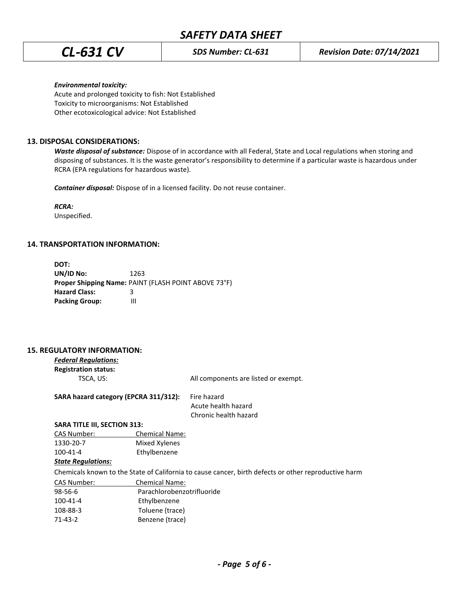#### *Environmental toxicity:*

Acute and prolonged toxicity to fish: Not Established Toxicity to microorganisms: Not Established Other ecotoxicological advice: Not Established

## **13. DISPOSAL CONSIDERATIONS:**

*Waste disposal of substance:* Dispose of in accordance with all Federal, State and Local regulations when storing and disposing of substances. It is the waste generator's responsibility to determine if a particular waste is hazardous under RCRA (EPA regulations for hazardous waste).

*Container disposal:* Dispose of in a licensed facility. Do not reuse container.

*RCRA:*

Unspecified.

### **14. TRANSPORTATION INFORMATION:**

| DOT:                  |                                                      |
|-----------------------|------------------------------------------------------|
| UN/ID No:             | 1263                                                 |
|                       | Proper Shipping Name: PAINT (FLASH POINT ABOVE 73°F) |
| <b>Hazard Class:</b>  | R                                                    |
| <b>Packing Group:</b> | ш                                                    |

### **15. REGULATORY INFORMATION:**

| <b>Federal Regulations:</b> |  |  |
|-----------------------------|--|--|
| <b>Registration status:</b> |  |  |
| $TSCA$ $IR2$                |  |  |

TSCA, US: TSCA, US: TELL COMPONENTS are listed or exempt.

SARA hazard category (EPCRA 311/312): Fire hazard

 Acute health hazard Chronic health hazard

#### **SARA TITLE III, SECTION 313:**

| <b>Chemical Name:</b> |
|-----------------------|
| Mixed Xylenes         |
| Ethylbenzene          |
|                       |

### *State Regulations:*

Chemicals known to the State of California to cause cancer, birth defects or other reproductive harm

| <b>Chemical Name:</b>      |  |
|----------------------------|--|
| Parachlorobenzotrifluoride |  |
| Ethylbenzene               |  |
| Toluene (trace)            |  |
| Benzene (trace)            |  |
|                            |  |